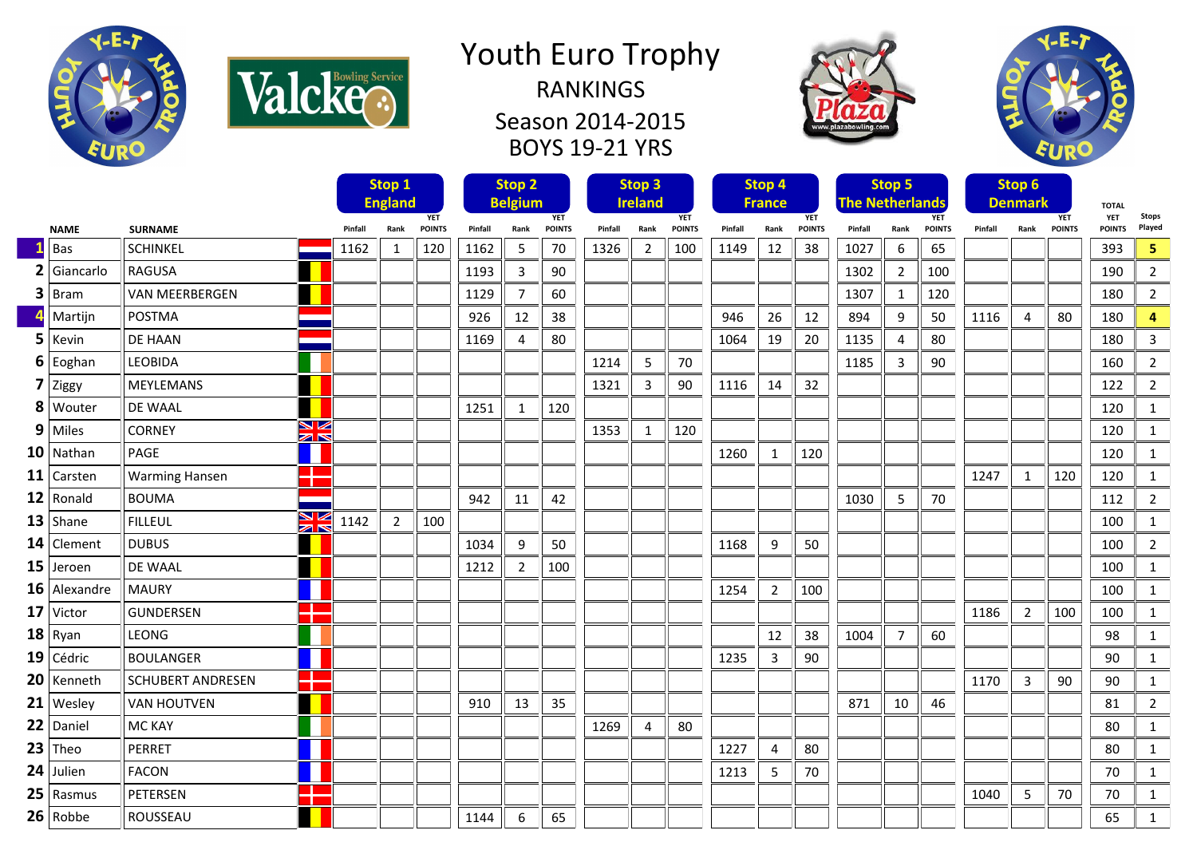

Valcke<sup>Bowling Service</sup>

## Youth Euro Trophy RANKINGS Season 2014-2015

BOYS 19-21 YRS





|   |                    |                                                 |                              | Stop 1         |               | Stop <sub>2</sub>            |                | <b>Stop 3</b> |                              |                | <b>Stop 4</b> |         |                             | Stop 5        |         |                                      | <b>Stop 6</b> |         |                              |               |                             |                         |
|---|--------------------|-------------------------------------------------|------------------------------|----------------|---------------|------------------------------|----------------|---------------|------------------------------|----------------|---------------|---------|-----------------------------|---------------|---------|--------------------------------------|---------------|---------|------------------------------|---------------|-----------------------------|-------------------------|
|   |                    |                                                 | <b>England</b><br><b>YET</b> |                |               | <b>Belgium</b><br><b>YET</b> |                |               | <b>Ireland</b><br><b>YET</b> |                |               |         | <b>France</b><br><b>YET</b> |               |         | <b>The Netherlands</b><br><b>YET</b> |               |         | <b>Denmark</b><br><b>YET</b> |               |                             | Stops                   |
|   | <b>NAME</b>        | <b>SURNAME</b>                                  | Pinfall                      | Rank           | <b>POINTS</b> | Pinfall                      | Rank           | <b>POINTS</b> | Pinfall                      | Rank           | <b>POINTS</b> | Pinfall | Rank                        | <b>POINTS</b> | Pinfall | Rank                                 | <b>POINTS</b> | Pinfall | Rank                         | <b>POINTS</b> | <b>YET</b><br><b>POINTS</b> | Played                  |
|   | Bas                | <b>SCHINKEL</b>                                 | 1162                         | $\mathbf{1}$   | 120           | 1162                         | 5              | 70            | 1326                         | 2              | 100           | 1149    | 12                          | 38            | 1027    | 6                                    | 65            |         |                              |               | 393                         | $\overline{\mathbf{5}}$ |
|   | Giancarlo          | <b>RAGUSA</b>                                   |                              |                |               | 1193                         | 3              | 90            |                              |                |               |         |                             |               | 1302    | $\overline{2}$                       | 100           |         |                              |               | 190                         | $\overline{2}$          |
| 3 | Bram               | <b>VAN MEERBERGEN</b>                           |                              |                |               | 1129                         | 7              | 60            |                              |                |               |         |                             |               | 1307    | 1                                    | 120           |         |                              |               | 180                         | $\overline{2}$          |
|   | Martijn            | POSTMA                                          |                              |                |               | 926                          | 12             | 38            |                              |                |               | 946     | 26                          | 12            | 894     | 9                                    | 50            | 1116    | 4                            | 80            | 180                         | 4                       |
|   | $5$ Kevin          | <b>DE HAAN</b>                                  |                              |                |               | 1169                         | $\overline{4}$ | 80            |                              |                |               | 1064    | 19                          | 20            | 1135    | $\overline{4}$                       | 80            |         |                              |               | 180                         | $\overline{3}$          |
|   | $6$ Eoghan         | <b>LEOBIDA</b>                                  |                              |                |               |                              |                |               | 1214                         | 5              | 70            |         |                             |               | 1185    | 3                                    | 90            |         |                              |               | 160                         | $\overline{2}$          |
|   | 7 ziggy            | <b>MEYLEMANS</b>                                |                              |                |               |                              |                |               | 1321                         | 3              | 90            | 1116    | 14                          | 32            |         |                                      |               |         |                              |               | 122                         | $\overline{2}$          |
|   | 8 Wouter           | DE WAAL                                         |                              |                |               | 1251                         | 1              | 120           |                              |                |               |         |                             |               |         |                                      |               |         |                              |               | 120                         | 1                       |
|   | $9$ Miles          | VZ<br><b>CORNEY</b><br>$\geq$                   |                              |                |               |                              |                |               | 1353                         | 1              | 120           |         |                             |               |         |                                      |               |         |                              |               | 120                         | $\mathbf{1}$            |
|   | $10$ Nathan        | PAGE                                            |                              |                |               |                              |                |               |                              |                |               | 1260    | $\mathbf{1}$                | 120           |         |                                      |               |         |                              |               | 120                         | $\mathbf{1}$            |
|   | 11 $\vert$ Carsten | <b>Warming Hansen</b>                           |                              |                |               |                              |                |               |                              |                |               |         |                             |               |         |                                      |               | 1247    | 1                            | 120           | 120                         | $\mathbf{1}$            |
|   | $12$ Ronald        | <b>BOUMA</b>                                    |                              |                |               | 942                          | 11             | 42            |                              |                |               |         |                             |               | 1030    | 5                                    | 70            |         |                              |               | 112                         | $\overline{2}$          |
|   | $13$ Shane         | ↘⊻<br><b>FILLEUL</b><br>$\mathbb{Z} \mathbb{R}$ | 1142                         | $\overline{2}$ | 100           |                              |                |               |                              |                |               |         |                             |               |         |                                      |               |         |                              |               | 100                         | $\mathbf{1}$            |
|   | 14 Clement         | <b>DUBUS</b>                                    |                              |                |               | 1034                         | 9              | 50            |                              |                |               | 1168    | 9                           | 50            |         |                                      |               |         |                              |               | 100                         | $\overline{2}$          |
|   | $15$ Jeroen        | DE WAAL                                         |                              |                |               | 1212                         | $\overline{2}$ | 100           |                              |                |               |         |                             |               |         |                                      |               |         |                              |               | 100                         | $\mathbf{1}$            |
|   | $16$ Alexandre     | <b>MAURY</b>                                    |                              |                |               |                              |                |               |                              |                |               | 1254    | $\overline{2}$              | 100           |         |                                      |               |         |                              |               | 100                         | $\mathbf{1}$            |
|   | $17$ Victor        | <b>GUNDERSEN</b>                                |                              |                |               |                              |                |               |                              |                |               |         |                             |               |         |                                      |               | 1186    | 2                            | 100           | 100                         | $\mathbf{1}$            |
|   | $18$ Ryan          | <b>LEONG</b>                                    |                              |                |               |                              |                |               |                              |                |               |         | 12                          | 38            | 1004    | $\overline{7}$                       | 60            |         |                              |               | 98                          | $\mathbf{1}$            |
|   | $19$ Cédric        | <b>BOULANGER</b>                                |                              |                |               |                              |                |               |                              |                |               | 1235    | 3                           | 90            |         |                                      |               |         |                              |               | 90                          | $\mathbf{1}$            |
|   | $20$ Kenneth       | –∎<br><b>SCHUBERT ANDRESEN</b>                  |                              |                |               |                              |                |               |                              |                |               |         |                             |               |         |                                      |               | 1170    | 3                            | 90            | 90                          | $\mathbf{1}$            |
|   | $21$ Wesley        | <b>VAN HOUTVEN</b>                              |                              |                |               | 910                          | 13             | 35            |                              |                |               |         |                             |               | 871     | 10                                   | 46            |         |                              |               | 81                          | $\overline{2}$          |
|   | $22$ Daniel        | <b>MC KAY</b>                                   |                              |                |               |                              |                |               | 1269                         | $\overline{4}$ | 80            |         |                             |               |         |                                      |               |         |                              |               | 80                          | $\mathbf{1}$            |
|   | $23$ Theo          | PERRET                                          |                              |                |               |                              |                |               |                              |                |               | 1227    | $\overline{4}$              | 80            |         |                                      |               |         |                              |               | 80                          | $\mathbf{1}$            |
|   | $24$ Julien        | <b>FACON</b>                                    |                              |                |               |                              |                |               |                              |                |               | 1213    | 5                           | 70            |         |                                      |               |         |                              |               | 70                          | $\mathbf{1}$            |
|   | $25$ Rasmus        | –∎<br>PETERSEN                                  |                              |                |               |                              |                |               |                              |                |               |         |                             |               |         |                                      |               | 1040    | 5                            | 70            | 70                          | $\mathbf{1}$            |
|   | $26$ Robbe         | ROUSSEAU                                        |                              |                |               | 1144                         | 6              | 65            |                              |                |               |         |                             |               |         |                                      |               |         |                              |               | 65                          | $\mathbf{1}$            |